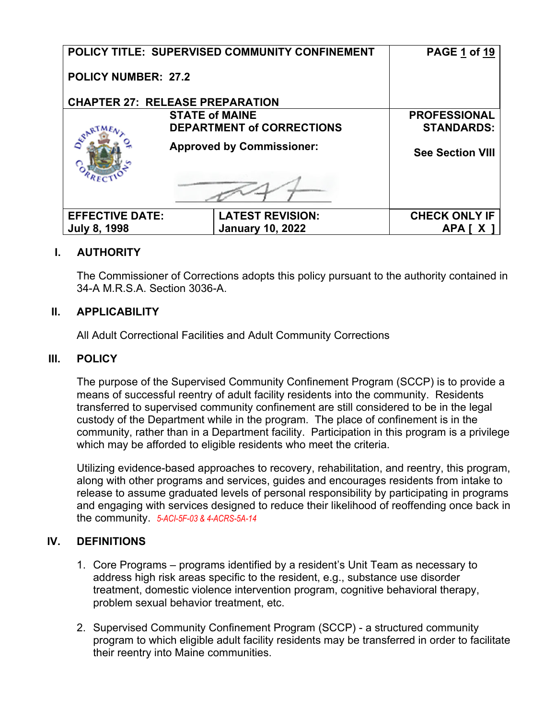|                            | POLICY TITLE: SUPERVISED COMMUNITY CONFINEMENT | PAGE 1 of 19            |
|----------------------------|------------------------------------------------|-------------------------|
| <b>POLICY NUMBER: 27.2</b> |                                                |                         |
|                            | <b>CHAPTER 27: RELEASE PREPARATION</b>         |                         |
|                            | <b>STATE of MAINE</b>                          | <b>PROFESSIONAL</b>     |
|                            | <b>DEPARTMENT of CORRECTIONS</b>               | <b>STANDARDS:</b>       |
|                            | <b>Approved by Commissioner:</b>               | <b>See Section VIII</b> |
|                            |                                                |                         |
| <b>EFFECTIVE DATE:</b>     | <b>LATEST REVISION:</b>                        | <b>CHECK ONLY IF</b>    |
| <b>July 8, 1998</b>        | <b>January 10, 2022</b>                        | APA IX                  |

## **I. AUTHORITY**

The Commissioner of Corrections adopts this policy pursuant to the authority contained in 34-A M.R.S.A. Section 3036-A.

## **II. APPLICABILITY**

All Adult Correctional Facilities and Adult Community Corrections

## **III. POLICY**

The purpose of the Supervised Community Confinement Program (SCCP) is to provide a means of successful reentry of adult facility residents into the community. Residents transferred to supervised community confinement are still considered to be in the legal custody of the Department while in the program. The place of confinement is in the community, rather than in a Department facility. Participation in this program is a privilege which may be afforded to eligible residents who meet the criteria.

Utilizing evidence-based approaches to recovery, rehabilitation, and reentry, this program, along with other programs and services, guides and encourages residents from intake to release to assume graduated levels of personal responsibility by participating in programs and engaging with services designed to reduce their likelihood of reoffending once back in the community. *5-ACI-5F-03 & 4-ACRS-5A-14*

## **IV. DEFINITIONS**

- 1. Core Programs programs identified by a resident's Unit Team as necessary to address high risk areas specific to the resident, e.g., substance use disorder treatment, domestic violence intervention program, cognitive behavioral therapy, problem sexual behavior treatment, etc.
- 2. Supervised Community Confinement Program (SCCP) a structured community program to which eligible adult facility residents may be transferred in order to facilitate their reentry into Maine communities.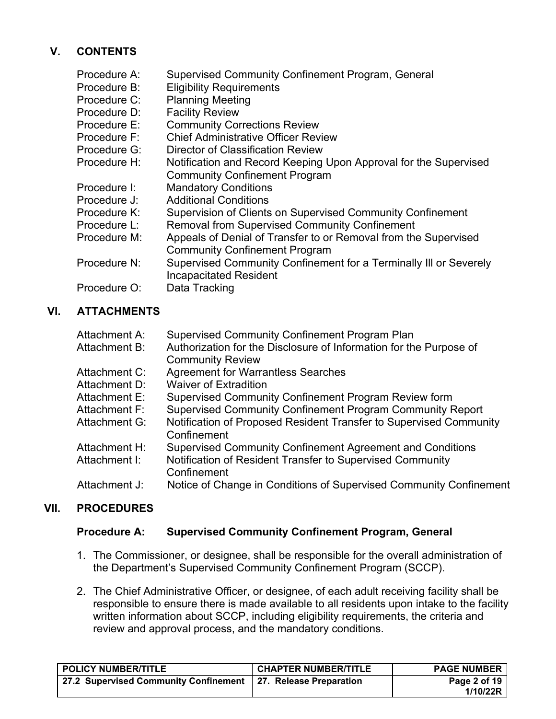# **V. CONTENTS**

| Procedure A: | <b>Supervised Community Confinement Program, General</b>          |
|--------------|-------------------------------------------------------------------|
| Procedure B: | <b>Eligibility Requirements</b>                                   |
| Procedure C: | <b>Planning Meeting</b>                                           |
| Procedure D: | <b>Facility Review</b>                                            |
| Procedure E: | <b>Community Corrections Review</b>                               |
| Procedure F: | <b>Chief Administrative Officer Review</b>                        |
| Procedure G: | Director of Classification Review                                 |
| Procedure H: | Notification and Record Keeping Upon Approval for the Supervised  |
|              | <b>Community Confinement Program</b>                              |
| Procedure I: | <b>Mandatory Conditions</b>                                       |
| Procedure J: | <b>Additional Conditions</b>                                      |
| Procedure K: | Supervision of Clients on Supervised Community Confinement        |
| Procedure L: | <b>Removal from Supervised Community Confinement</b>              |
| Procedure M: | Appeals of Denial of Transfer to or Removal from the Supervised   |
|              | <b>Community Confinement Program</b>                              |
| Procedure N: | Supervised Community Confinement for a Terminally III or Severely |
|              | <b>Incapacitated Resident</b>                                     |
| Procedure O: | Data Tracking                                                     |

## **VI. ATTACHMENTS**

| Attachment A: | <b>Supervised Community Confinement Program Plan</b>                              |
|---------------|-----------------------------------------------------------------------------------|
| Attachment B: | Authorization for the Disclosure of Information for the Purpose of                |
|               | <b>Community Review</b>                                                           |
| Attachment C: | <b>Agreement for Warrantless Searches</b>                                         |
| Attachment D: | <b>Waiver of Extradition</b>                                                      |
| Attachment E: | Supervised Community Confinement Program Review form                              |
| Attachment F: | Supervised Community Confinement Program Community Report                         |
| Attachment G: | Notification of Proposed Resident Transfer to Supervised Community<br>Confinement |
| Attachment H: | Supervised Community Confinement Agreement and Conditions                         |
| Attachment I: | Notification of Resident Transfer to Supervised Community<br>Confinement          |
| Attachment J: | Notice of Change in Conditions of Supervised Community Confinement                |

## **VII. PROCEDURES**

## **Procedure A: Supervised Community Confinement Program, General**

- 1. The Commissioner, or designee, shall be responsible for the overall administration of the Department's Supervised Community Confinement Program (SCCP).
- 2. The Chief Administrative Officer, or designee, of each adult receiving facility shall be responsible to ensure there is made available to all residents upon intake to the facility written information about SCCP, including eligibility requirements, the criteria and review and approval process, and the mandatory conditions.

| POLICY NUMBER/TITLE                   | <b>CHAPTER NUMBER/TITLE</b> | <b>PAGE NUMBER</b>           |
|---------------------------------------|-----------------------------|------------------------------|
| 27.2 Supervised Community Confinement | 27. Release Preparation     | Page 2 of 19 $ $<br>1/10/22R |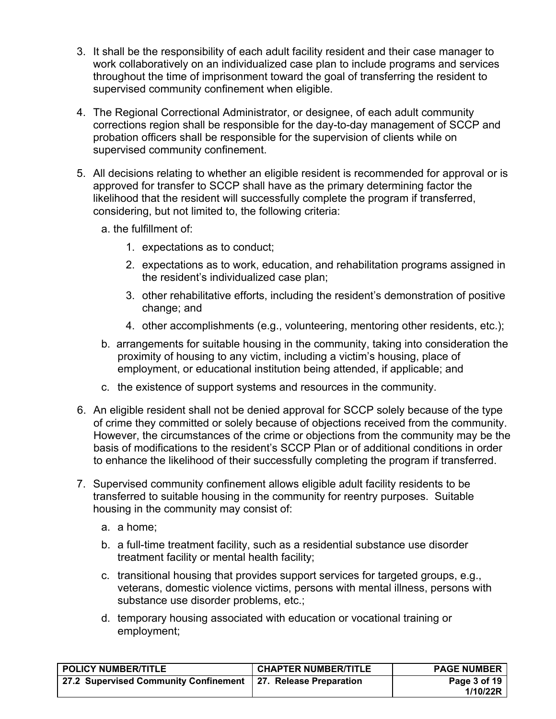- 3. It shall be the responsibility of each adult facility resident and their case manager to work collaboratively on an individualized case plan to include programs and services throughout the time of imprisonment toward the goal of transferring the resident to supervised community confinement when eligible.
- 4. The Regional Correctional Administrator, or designee, of each adult community corrections region shall be responsible for the day-to-day management of SCCP and probation officers shall be responsible for the supervision of clients while on supervised community confinement.
- 5. All decisions relating to whether an eligible resident is recommended for approval or is approved for transfer to SCCP shall have as the primary determining factor the likelihood that the resident will successfully complete the program if transferred, considering, but not limited to, the following criteria:
	- a. the fulfillment of:
		- 1. expectations as to conduct;
		- 2. expectations as to work, education, and rehabilitation programs assigned in the resident's individualized case plan;
		- 3. other rehabilitative efforts, including the resident's demonstration of positive change; and
		- 4. other accomplishments (e.g., volunteering, mentoring other residents, etc.);
	- b. arrangements for suitable housing in the community, taking into consideration the proximity of housing to any victim, including a victim's housing, place of employment, or educational institution being attended, if applicable; and
	- c. the existence of support systems and resources in the community.
- 6. An eligible resident shall not be denied approval for SCCP solely because of the type of crime they committed or solely because of objections received from the community. However, the circumstances of the crime or objections from the community may be the basis of modifications to the resident's SCCP Plan or of additional conditions in order to enhance the likelihood of their successfully completing the program if transferred.
- 7. Supervised community confinement allows eligible adult facility residents to be transferred to suitable housing in the community for reentry purposes. Suitable housing in the community may consist of:
	- a. a home;
	- b. a full-time treatment facility, such as a residential substance use disorder treatment facility or mental health facility;
	- c. transitional housing that provides support services for targeted groups, e.g., veterans, domestic violence victims, persons with mental illness, persons with substance use disorder problems, etc.;
	- d. temporary housing associated with education or vocational training or employment;

| <b>POLICY NUMBER/TITLE</b>                                    | <b>CHAPTER NUMBER/TITLE</b> | <b>PAGE NUMBER</b>       |
|---------------------------------------------------------------|-----------------------------|--------------------------|
| 27.2 Supervised Community Confinement 27. Release Preparation |                             | Page 3 of 19<br>1/10/22R |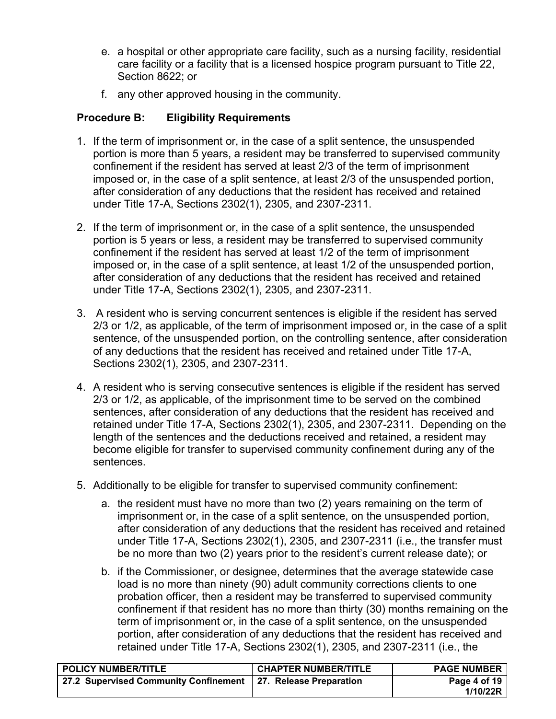- e. a hospital or other appropriate care facility, such as a nursing facility, residential care facility or a facility that is a licensed hospice program pursuant to Title 22, Section 8622; or
- f. any other approved housing in the community.

## **Procedure B: Eligibility Requirements**

- 1. If the term of imprisonment or, in the case of a split sentence, the unsuspended portion is more than 5 years, a resident may be transferred to supervised community confinement if the resident has served at least 2/3 of the term of imprisonment imposed or, in the case of a split sentence, at least 2/3 of the unsuspended portion, after consideration of any deductions that the resident has received and retained under Title 17-A, Sections 2302(1), 2305, and 2307-2311.
- 2. If the term of imprisonment or, in the case of a split sentence, the unsuspended portion is 5 years or less, a resident may be transferred to supervised community confinement if the resident has served at least 1/2 of the term of imprisonment imposed or, in the case of a split sentence, at least 1/2 of the unsuspended portion, after consideration of any deductions that the resident has received and retained under Title 17-A, Sections 2302(1), 2305, and 2307-2311.
- 3. A resident who is serving concurrent sentences is eligible if the resident has served 2/3 or 1/2, as applicable, of the term of imprisonment imposed or, in the case of a split sentence, of the unsuspended portion, on the controlling sentence, after consideration of any deductions that the resident has received and retained under Title 17-A, Sections 2302(1), 2305, and 2307-2311.
- 4. A resident who is serving consecutive sentences is eligible if the resident has served 2/3 or 1/2, as applicable, of the imprisonment time to be served on the combined sentences, after consideration of any deductions that the resident has received and retained under Title 17-A, Sections 2302(1), 2305, and 2307-2311. Depending on the length of the sentences and the deductions received and retained, a resident may become eligible for transfer to supervised community confinement during any of the sentences.
- 5. Additionally to be eligible for transfer to supervised community confinement:
	- a. the resident must have no more than two (2) years remaining on the term of imprisonment or, in the case of a split sentence, on the unsuspended portion, after consideration of any deductions that the resident has received and retained under Title 17-A, Sections 2302(1), 2305, and 2307-2311 (i.e., the transfer must be no more than two (2) years prior to the resident's current release date); or
	- b. if the Commissioner, or designee, determines that the average statewide case load is no more than ninety (90) adult community corrections clients to one probation officer, then a resident may be transferred to supervised community confinement if that resident has no more than thirty (30) months remaining on the term of imprisonment or, in the case of a split sentence, on the unsuspended portion, after consideration of any deductions that the resident has received and retained under Title 17-A, Sections 2302(1), 2305, and 2307-2311 (i.e., the

| <b>POLICY NUMBER/TITLE</b>                                      | <b>CHAPTER NUMBER/TITLE</b> | <b>PAGE NUMBER</b> |
|-----------------------------------------------------------------|-----------------------------|--------------------|
| 27.2 Supervised Community Confinement   27. Release Preparation |                             | Page 4 of 19       |
|                                                                 |                             | 1/10/22R           |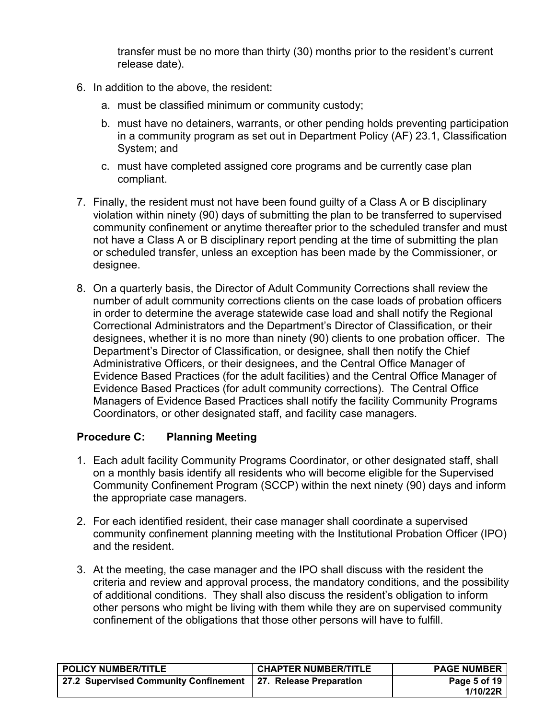transfer must be no more than thirty (30) months prior to the resident's current release date).

- 6. In addition to the above, the resident:
	- a. must be classified minimum or community custody;
	- b. must have no detainers, warrants, or other pending holds preventing participation in a community program as set out in Department Policy (AF) 23.1, Classification System; and
	- c. must have completed assigned core programs and be currently case plan compliant.
- 7. Finally, the resident must not have been found guilty of a Class A or B disciplinary violation within ninety (90) days of submitting the plan to be transferred to supervised community confinement or anytime thereafter prior to the scheduled transfer and must not have a Class A or B disciplinary report pending at the time of submitting the plan or scheduled transfer, unless an exception has been made by the Commissioner, or designee.
- 8. On a quarterly basis, the Director of Adult Community Corrections shall review the number of adult community corrections clients on the case loads of probation officers in order to determine the average statewide case load and shall notify the Regional Correctional Administrators and the Department's Director of Classification, or their designees, whether it is no more than ninety (90) clients to one probation officer. The Department's Director of Classification, or designee, shall then notify the Chief Administrative Officers, or their designees, and the Central Office Manager of Evidence Based Practices (for the adult facilities) and the Central Office Manager of Evidence Based Practices (for adult community corrections). The Central Office Managers of Evidence Based Practices shall notify the facility Community Programs Coordinators, or other designated staff, and facility case managers.

### **Procedure C: Planning Meeting**

- 1. Each adult facility Community Programs Coordinator, or other designated staff, shall on a monthly basis identify all residents who will become eligible for the Supervised Community Confinement Program (SCCP) within the next ninety (90) days and inform the appropriate case managers.
- 2. For each identified resident, their case manager shall coordinate a supervised community confinement planning meeting with the Institutional Probation Officer (IPO) and the resident.
- 3. At the meeting, the case manager and the IPO shall discuss with the resident the criteria and review and approval process, the mandatory conditions, and the possibility of additional conditions. They shall also discuss the resident's obligation to inform other persons who might be living with them while they are on supervised community confinement of the obligations that those other persons will have to fulfill.

| <b>POLICY NUMBER/TITLE</b>                                    | <b>CHAPTER NUMBER/TITLE</b> | <b>PAGE NUMBER</b>       |
|---------------------------------------------------------------|-----------------------------|--------------------------|
| 27.2 Supervised Community Confinement 27. Release Preparation |                             | Page 5 of 19<br>1/10/22R |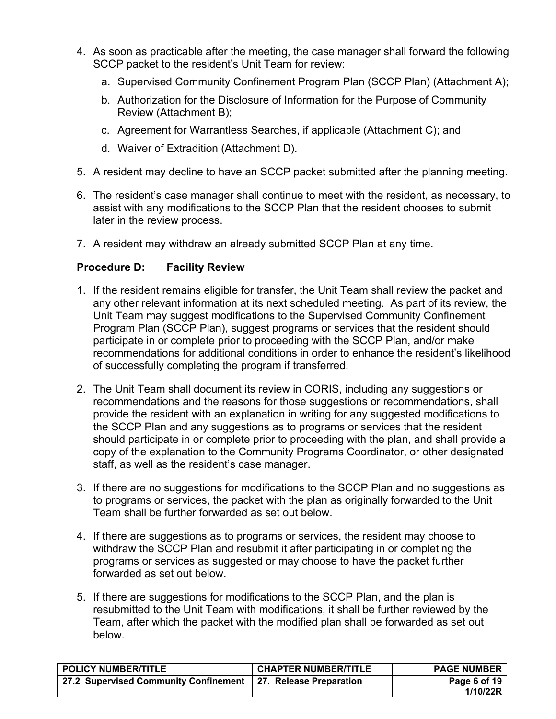- 4. As soon as practicable after the meeting, the case manager shall forward the following SCCP packet to the resident's Unit Team for review:
	- a. Supervised Community Confinement Program Plan (SCCP Plan) (Attachment A);
	- b. Authorization for the Disclosure of Information for the Purpose of Community Review (Attachment B);
	- c. Agreement for Warrantless Searches, if applicable (Attachment C); and
	- d. Waiver of Extradition (Attachment D).
- 5. A resident may decline to have an SCCP packet submitted after the planning meeting.
- 6. The resident's case manager shall continue to meet with the resident, as necessary, to assist with any modifications to the SCCP Plan that the resident chooses to submit later in the review process.
- 7. A resident may withdraw an already submitted SCCP Plan at any time.

## **Procedure D: Facility Review**

- 1. If the resident remains eligible for transfer, the Unit Team shall review the packet and any other relevant information at its next scheduled meeting. As part of its review, the Unit Team may suggest modifications to the Supervised Community Confinement Program Plan (SCCP Plan), suggest programs or services that the resident should participate in or complete prior to proceeding with the SCCP Plan, and/or make recommendations for additional conditions in order to enhance the resident's likelihood of successfully completing the program if transferred.
- 2. The Unit Team shall document its review in CORIS, including any suggestions or recommendations and the reasons for those suggestions or recommendations, shall provide the resident with an explanation in writing for any suggested modifications to the SCCP Plan and any suggestions as to programs or services that the resident should participate in or complete prior to proceeding with the plan, and shall provide a copy of the explanation to the Community Programs Coordinator, or other designated staff, as well as the resident's case manager.
- 3. If there are no suggestions for modifications to the SCCP Plan and no suggestions as to programs or services, the packet with the plan as originally forwarded to the Unit Team shall be further forwarded as set out below.
- 4. If there are suggestions as to programs or services, the resident may choose to withdraw the SCCP Plan and resubmit it after participating in or completing the programs or services as suggested or may choose to have the packet further forwarded as set out below.
- 5. If there are suggestions for modifications to the SCCP Plan, and the plan is resubmitted to the Unit Team with modifications, it shall be further reviewed by the Team, after which the packet with the modified plan shall be forwarded as set out below.

| <b>POLICY NUMBER/TITLE</b>                                    | <b>CHAPTER NUMBER/TITLE</b> | <b>PAGE NUMBER</b>       |
|---------------------------------------------------------------|-----------------------------|--------------------------|
| 27.2 Supervised Community Confinement 27. Release Preparation |                             | Page 6 of 19<br>1/10/22R |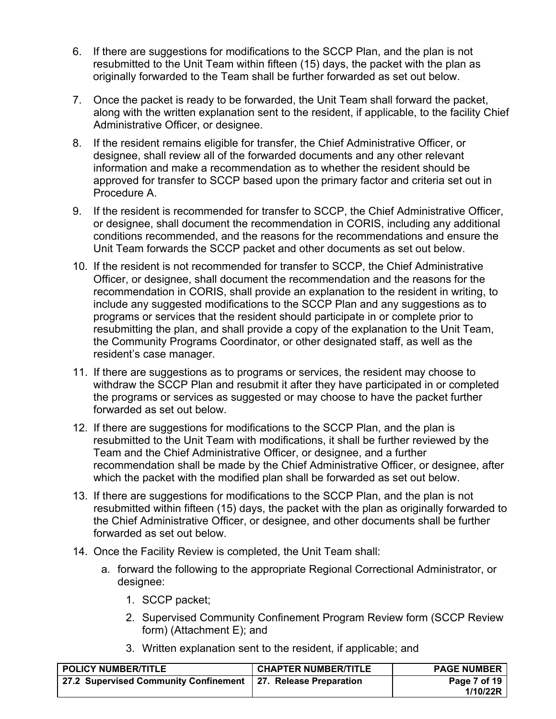- 6. If there are suggestions for modifications to the SCCP Plan, and the plan is not resubmitted to the Unit Team within fifteen (15) days, the packet with the plan as originally forwarded to the Team shall be further forwarded as set out below.
- 7. Once the packet is ready to be forwarded, the Unit Team shall forward the packet, along with the written explanation sent to the resident, if applicable, to the facility Chief Administrative Officer, or designee.
- 8. If the resident remains eligible for transfer, the Chief Administrative Officer, or designee, shall review all of the forwarded documents and any other relevant information and make a recommendation as to whether the resident should be approved for transfer to SCCP based upon the primary factor and criteria set out in Procedure A.
- 9. If the resident is recommended for transfer to SCCP, the Chief Administrative Officer, or designee, shall document the recommendation in CORIS, including any additional conditions recommended, and the reasons for the recommendations and ensure the Unit Team forwards the SCCP packet and other documents as set out below.
- 10. If the resident is not recommended for transfer to SCCP, the Chief Administrative Officer, or designee, shall document the recommendation and the reasons for the recommendation in CORIS, shall provide an explanation to the resident in writing, to include any suggested modifications to the SCCP Plan and any suggestions as to programs or services that the resident should participate in or complete prior to resubmitting the plan, and shall provide a copy of the explanation to the Unit Team, the Community Programs Coordinator, or other designated staff, as well as the resident's case manager.
- 11. If there are suggestions as to programs or services, the resident may choose to withdraw the SCCP Plan and resubmit it after they have participated in or completed the programs or services as suggested or may choose to have the packet further forwarded as set out below.
- 12. If there are suggestions for modifications to the SCCP Plan, and the plan is resubmitted to the Unit Team with modifications, it shall be further reviewed by the Team and the Chief Administrative Officer, or designee, and a further recommendation shall be made by the Chief Administrative Officer, or designee, after which the packet with the modified plan shall be forwarded as set out below.
- 13. If there are suggestions for modifications to the SCCP Plan, and the plan is not resubmitted within fifteen (15) days, the packet with the plan as originally forwarded to the Chief Administrative Officer, or designee, and other documents shall be further forwarded as set out below.
- 14. Once the Facility Review is completed, the Unit Team shall:
	- a. forward the following to the appropriate Regional Correctional Administrator, or designee:
		- 1. SCCP packet;
		- 2. Supervised Community Confinement Program Review form (SCCP Review form) (Attachment E); and
		- 3. Written explanation sent to the resident, if applicable; and

| <b>POLICY NUMBER/TITLE</b>                                    | <b>CHAPTER NUMBER/TITLE</b> | <b>PAGE NUMBER</b>       |
|---------------------------------------------------------------|-----------------------------|--------------------------|
| 27.2 Supervised Community Confinement 27. Release Preparation |                             | Page 7 of 19<br>1/10/22R |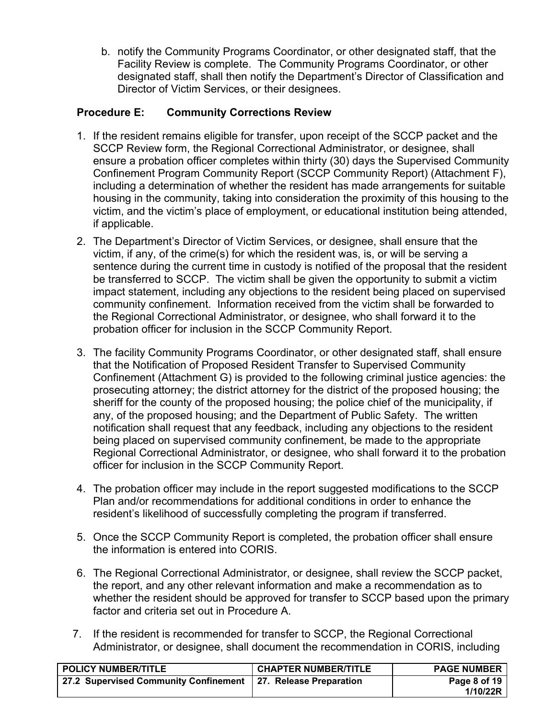b. notify the Community Programs Coordinator, or other designated staff, that the Facility Review is complete. The Community Programs Coordinator, or other designated staff, shall then notify the Department's Director of Classification and Director of Victim Services, or their designees.

## **Procedure E: Community Corrections Review**

- 1. If the resident remains eligible for transfer, upon receipt of the SCCP packet and the SCCP Review form, the Regional Correctional Administrator, or designee, shall ensure a probation officer completes within thirty (30) days the Supervised Community Confinement Program Community Report (SCCP Community Report) (Attachment F), including a determination of whether the resident has made arrangements for suitable housing in the community, taking into consideration the proximity of this housing to the victim, and the victim's place of employment, or educational institution being attended, if applicable.
- 2. The Department's Director of Victim Services, or designee, shall ensure that the victim, if any, of the crime(s) for which the resident was, is, or will be serving a sentence during the current time in custody is notified of the proposal that the resident be transferred to SCCP. The victim shall be given the opportunity to submit a victim impact statement, including any objections to the resident being placed on supervised community confinement. Information received from the victim shall be forwarded to the Regional Correctional Administrator, or designee, who shall forward it to the probation officer for inclusion in the SCCP Community Report.
- 3. The facility Community Programs Coordinator, or other designated staff, shall ensure that the Notification of Proposed Resident Transfer to Supervised Community Confinement (Attachment G) is provided to the following criminal justice agencies: the prosecuting attorney; the district attorney for the district of the proposed housing; the sheriff for the county of the proposed housing; the police chief of the municipality, if any, of the proposed housing; and the Department of Public Safety. The written notification shall request that any feedback, including any objections to the resident being placed on supervised community confinement, be made to the appropriate Regional Correctional Administrator, or designee, who shall forward it to the probation officer for inclusion in the SCCP Community Report.
- 4. The probation officer may include in the report suggested modifications to the SCCP Plan and/or recommendations for additional conditions in order to enhance the resident's likelihood of successfully completing the program if transferred.
- 5. Once the SCCP Community Report is completed, the probation officer shall ensure the information is entered into CORIS.
- 6. The Regional Correctional Administrator, or designee, shall review the SCCP packet, the report, and any other relevant information and make a recommendation as to whether the resident should be approved for transfer to SCCP based upon the primary factor and criteria set out in Procedure A.
- 7. If the resident is recommended for transfer to SCCP, the Regional Correctional Administrator, or designee, shall document the recommendation in CORIS, including

| <b>POLICY NUMBER/TITLE</b>                                    | <b>CHAPTER NUMBER/TITLE</b> | <b>PAGE NUMBER</b> |
|---------------------------------------------------------------|-----------------------------|--------------------|
| 27.2 Supervised Community Confinement 27. Release Preparation |                             | Page 8 of 19       |
|                                                               |                             | 1/10/22R           |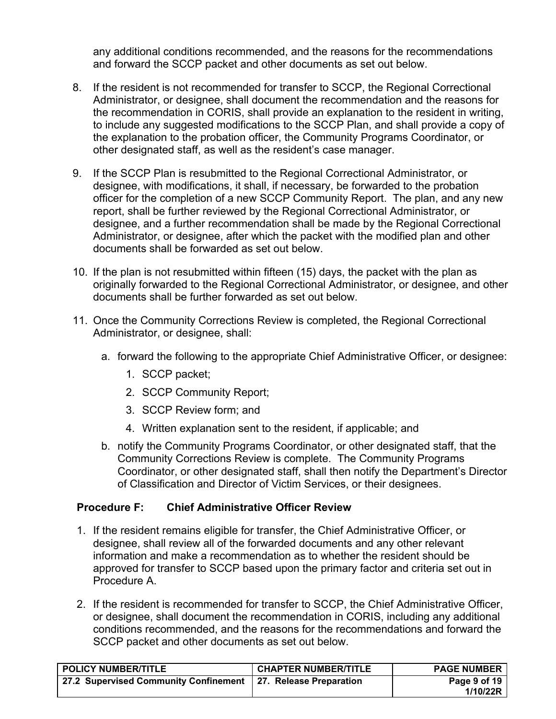any additional conditions recommended, and the reasons for the recommendations and forward the SCCP packet and other documents as set out below.

- 8. If the resident is not recommended for transfer to SCCP, the Regional Correctional Administrator, or designee, shall document the recommendation and the reasons for the recommendation in CORIS, shall provide an explanation to the resident in writing, to include any suggested modifications to the SCCP Plan, and shall provide a copy of the explanation to the probation officer, the Community Programs Coordinator, or other designated staff, as well as the resident's case manager.
- 9. If the SCCP Plan is resubmitted to the Regional Correctional Administrator, or designee, with modifications, it shall, if necessary, be forwarded to the probation officer for the completion of a new SCCP Community Report. The plan, and any new report, shall be further reviewed by the Regional Correctional Administrator, or designee, and a further recommendation shall be made by the Regional Correctional Administrator, or designee, after which the packet with the modified plan and other documents shall be forwarded as set out below.
- 10. If the plan is not resubmitted within fifteen (15) days, the packet with the plan as originally forwarded to the Regional Correctional Administrator, or designee, and other documents shall be further forwarded as set out below.
- 11. Once the Community Corrections Review is completed, the Regional Correctional Administrator, or designee, shall:
	- a. forward the following to the appropriate Chief Administrative Officer, or designee:
		- 1. SCCP packet;
		- 2. SCCP Community Report;
		- 3. SCCP Review form; and
		- 4. Written explanation sent to the resident, if applicable; and
	- b. notify the Community Programs Coordinator, or other designated staff, that the Community Corrections Review is complete. The Community Programs Coordinator, or other designated staff, shall then notify the Department's Director of Classification and Director of Victim Services, or their designees.

### **Procedure F: Chief Administrative Officer Review**

- 1. If the resident remains eligible for transfer, the Chief Administrative Officer, or designee, shall review all of the forwarded documents and any other relevant information and make a recommendation as to whether the resident should be approved for transfer to SCCP based upon the primary factor and criteria set out in Procedure A.
- 2. If the resident is recommended for transfer to SCCP, the Chief Administrative Officer, or designee, shall document the recommendation in CORIS, including any additional conditions recommended, and the reasons for the recommendations and forward the SCCP packet and other documents as set out below.

| <b>POLICY NUMBER/TITLE</b>                                    | <b>CHAPTER NUMBER/TITLE</b> | <b>PAGE NUMBER</b> |
|---------------------------------------------------------------|-----------------------------|--------------------|
| 27.2 Supervised Community Confinement 27. Release Preparation |                             | Page 9 of 19       |
|                                                               |                             | 1/10/22R           |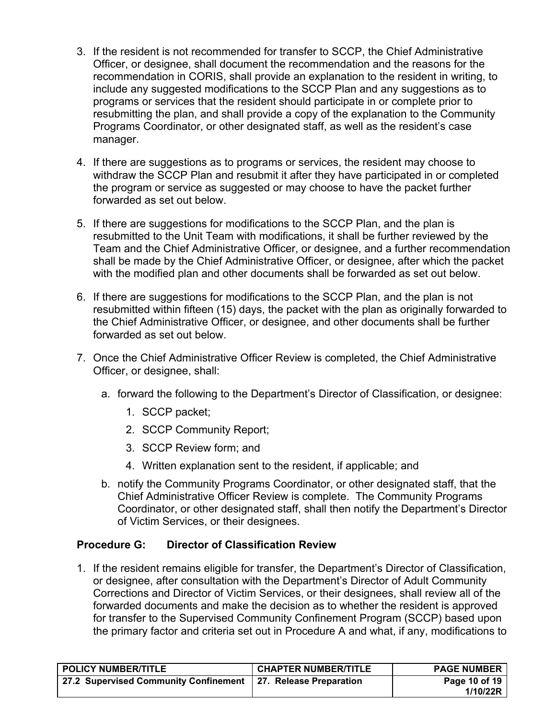- 3. If the resident is not recommended for transfer to SCCP, the Chief Administrative Officer, or designee, shall document the recommendation and the reasons for the recommendation in CORIS, shall provide an explanation to the resident in writing, to include any suggested modifications to the SCCP Plan and any suggestions as to programs or services that the resident should participate in or complete prior to resubmitting the plan, and shall provide a copy of the explanation to the Community Programs Coordinator, or other designated staff, as well as the resident's case manager.
- 4. If there are suggestions as to programs or services, the resident may choose to withdraw the SCCP Plan and resubmit it after they have participated in or completed the program or service as suggested or may choose to have the packet further forwarded as set out below.
- 5. If there are suggestions for modifications to the SCCP Plan, and the plan is resubmitted to the Unit Team with modifications, it shall be further reviewed by the Team and the Chief Administrative Officer, or designee, and a further recommendation shall be made by the Chief Administrative Officer, or designee, after which the packet with the modified plan and other documents shall be forwarded as set out below.
- 6. If there are suggestions for modifications to the SCCP Plan, and the plan is not resubmitted within fifteen (15) days, the packet with the plan as originally forwarded to the Chief Administrative Officer, or designee, and other documents shall be further forwarded as set out below.
- 7. Once the Chief Administrative Officer Review is completed, the Chief Administrative Officer, or designee, shall:
	- a. forward the following to the Department's Director of Classification, or designee:
		- 1. SCCP packet;
		- 2. SCCP Community Report;
		- 3. SCCP Review form; and
		- 4. Written explanation sent to the resident, if applicable; and
	- b. notify the Community Programs Coordinator, or other designated staff, that the Chief Administrative Officer Review is complete. The Community Programs Coordinator, or other designated staff, shall then notify the Department's Director of Victim Services, or their designees.

## **Procedure G: Director of Classification Review**

1. If the resident remains eligible for transfer, the Department's Director of Classification, or designee, after consultation with the Department's Director of Adult Community Corrections and Director of Victim Services, or their designees, shall review all of the forwarded documents and make the decision as to whether the resident is approved for transfer to the Supervised Community Confinement Program (SCCP) based upon the primary factor and criteria set out in Procedure A and what, if any, modifications to

| <b>POLICY NUMBER/TITLE</b>            | <b>CHAPTER NUMBER/TITLE</b> | <b>PAGE NUMBER</b>        |
|---------------------------------------|-----------------------------|---------------------------|
| 27.2 Supervised Community Confinement | 27. Release Preparation     | Page 10 of 19<br>1/10/22R |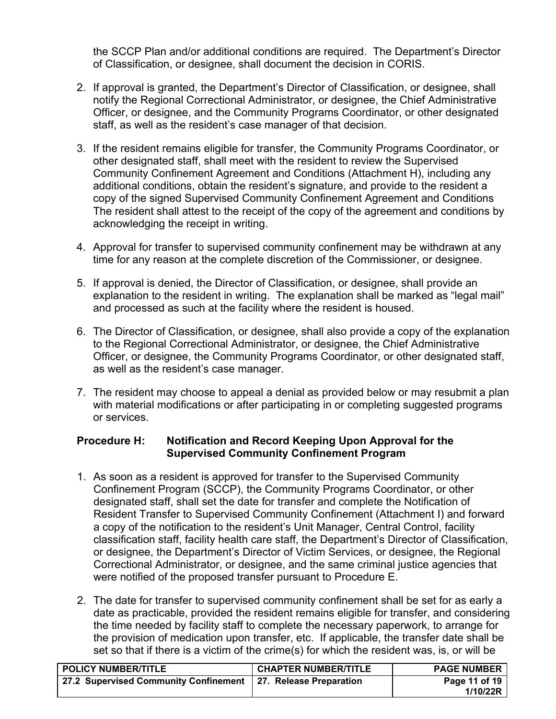the SCCP Plan and/or additional conditions are required. The Department's Director of Classification, or designee, shall document the decision in CORIS.

- 2. If approval is granted, the Department's Director of Classification, or designee, shall notify the Regional Correctional Administrator, or designee, the Chief Administrative Officer, or designee, and the Community Programs Coordinator, or other designated staff, as well as the resident's case manager of that decision.
- 3. If the resident remains eligible for transfer, the Community Programs Coordinator, or other designated staff, shall meet with the resident to review the Supervised Community Confinement Agreement and Conditions (Attachment H), including any additional conditions, obtain the resident's signature, and provide to the resident a copy of the signed Supervised Community Confinement Agreement and Conditions The resident shall attest to the receipt of the copy of the agreement and conditions by acknowledging the receipt in writing.
- 4. Approval for transfer to supervised community confinement may be withdrawn at any time for any reason at the complete discretion of the Commissioner, or designee.
- 5. If approval is denied, the Director of Classification, or designee, shall provide an explanation to the resident in writing. The explanation shall be marked as "legal mail" and processed as such at the facility where the resident is housed.
- 6. The Director of Classification, or designee, shall also provide a copy of the explanation to the Regional Correctional Administrator, or designee, the Chief Administrative Officer, or designee, the Community Programs Coordinator, or other designated staff, as well as the resident's case manager.
- 7. The resident may choose to appeal a denial as provided below or may resubmit a plan with material modifications or after participating in or completing suggested programs or services.

### **Procedure H: Notification and Record Keeping Upon Approval for the Supervised Community Confinement Program**

- 1. As soon as a resident is approved for transfer to the Supervised Community Confinement Program (SCCP), the Community Programs Coordinator, or other designated staff, shall set the date for transfer and complete the Notification of Resident Transfer to Supervised Community Confinement (Attachment I) and forward a copy of the notification to the resident's Unit Manager, Central Control, facility classification staff, facility health care staff, the Department's Director of Classification, or designee, the Department's Director of Victim Services, or designee, the Regional Correctional Administrator, or designee, and the same criminal justice agencies that were notified of the proposed transfer pursuant to Procedure E.
- 2. The date for transfer to supervised community confinement shall be set for as early a date as practicable, provided the resident remains eligible for transfer, and considering the time needed by facility staff to complete the necessary paperwork, to arrange for the provision of medication upon transfer, etc. If applicable, the transfer date shall be set so that if there is a victim of the crime(s) for which the resident was, is, or will be

| <b>POLICY NUMBER/TITLE</b>                                      | <b>CHAPTER NUMBER/TITLE</b> | <b>PAGE NUMBER</b> |
|-----------------------------------------------------------------|-----------------------------|--------------------|
| 27.2 Supervised Community Confinement   27. Release Preparation |                             | Page 11 of 19      |
|                                                                 |                             | 1/10/22R           |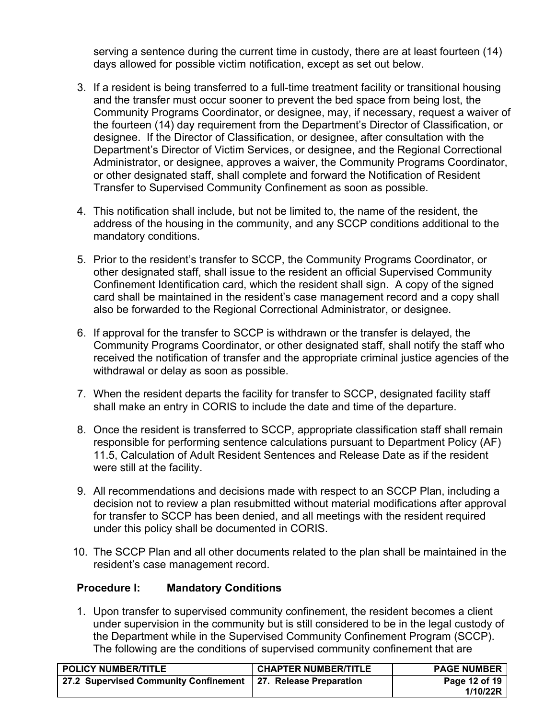serving a sentence during the current time in custody, there are at least fourteen (14) days allowed for possible victim notification, except as set out below.

- 3. If a resident is being transferred to a full-time treatment facility or transitional housing and the transfer must occur sooner to prevent the bed space from being lost, the Community Programs Coordinator, or designee, may, if necessary, request a waiver of the fourteen (14) day requirement from the Department's Director of Classification, or designee. If the Director of Classification, or designee, after consultation with the Department's Director of Victim Services, or designee, and the Regional Correctional Administrator, or designee, approves a waiver, the Community Programs Coordinator, or other designated staff, shall complete and forward the Notification of Resident Transfer to Supervised Community Confinement as soon as possible.
- 4. This notification shall include, but not be limited to, the name of the resident, the address of the housing in the community, and any SCCP conditions additional to the mandatory conditions.
- 5. Prior to the resident's transfer to SCCP, the Community Programs Coordinator, or other designated staff, shall issue to the resident an official Supervised Community Confinement Identification card, which the resident shall sign. A copy of the signed card shall be maintained in the resident's case management record and a copy shall also be forwarded to the Regional Correctional Administrator, or designee.
- 6. If approval for the transfer to SCCP is withdrawn or the transfer is delayed, the Community Programs Coordinator, or other designated staff, shall notify the staff who received the notification of transfer and the appropriate criminal justice agencies of the withdrawal or delay as soon as possible.
- 7. When the resident departs the facility for transfer to SCCP, designated facility staff shall make an entry in CORIS to include the date and time of the departure.
- 8. Once the resident is transferred to SCCP, appropriate classification staff shall remain responsible for performing sentence calculations pursuant to Department Policy (AF) 11.5, Calculation of Adult Resident Sentences and Release Date as if the resident were still at the facility.
- 9. All recommendations and decisions made with respect to an SCCP Plan, including a decision not to review a plan resubmitted without material modifications after approval for transfer to SCCP has been denied, and all meetings with the resident required under this policy shall be documented in CORIS.
- 10. The SCCP Plan and all other documents related to the plan shall be maintained in the resident's case management record.

## **Procedure I: Mandatory Conditions**

1. Upon transfer to supervised community confinement, the resident becomes a client under supervision in the community but is still considered to be in the legal custody of the Department while in the Supervised Community Confinement Program (SCCP). The following are the conditions of supervised community confinement that are

| <b>POLICY NUMBER/TITLE</b>                                    | <b>CHAPTER NUMBER/TITLE</b> | <b>PAGE NUMBER</b>        |
|---------------------------------------------------------------|-----------------------------|---------------------------|
| 27.2 Supervised Community Confinement 27. Release Preparation |                             | Page 12 of 19<br>1/10/22R |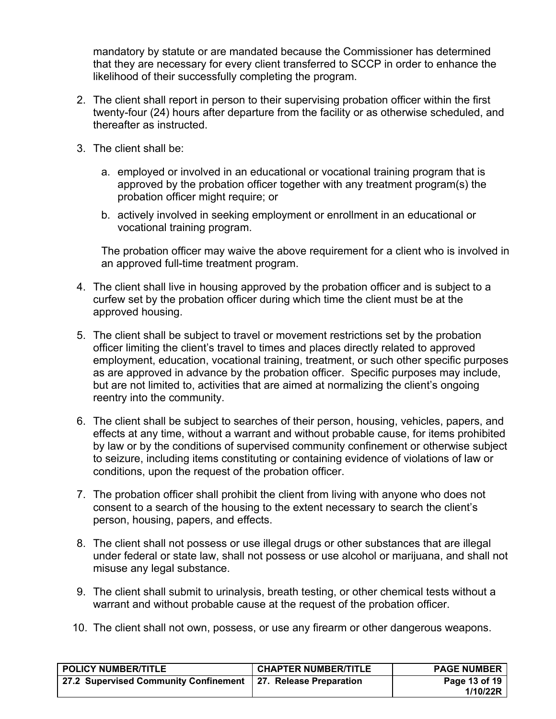mandatory by statute or are mandated because the Commissioner has determined that they are necessary for every client transferred to SCCP in order to enhance the likelihood of their successfully completing the program.

- 2. The client shall report in person to their supervising probation officer within the first twenty-four (24) hours after departure from the facility or as otherwise scheduled, and thereafter as instructed.
- 3. The client shall be:
	- a. employed or involved in an educational or vocational training program that is approved by the probation officer together with any treatment program(s) the probation officer might require; or
	- b. actively involved in seeking employment or enrollment in an educational or vocational training program.

The probation officer may waive the above requirement for a client who is involved in an approved full-time treatment program.

- 4. The client shall live in housing approved by the probation officer and is subject to a curfew set by the probation officer during which time the client must be at the approved housing.
- 5. The client shall be subject to travel or movement restrictions set by the probation officer limiting the client's travel to times and places directly related to approved employment, education, vocational training, treatment, or such other specific purposes as are approved in advance by the probation officer. Specific purposes may include, but are not limited to, activities that are aimed at normalizing the client's ongoing reentry into the community.
- 6. The client shall be subject to searches of their person, housing, vehicles, papers, and effects at any time, without a warrant and without probable cause, for items prohibited by law or by the conditions of supervised community confinement or otherwise subject to seizure, including items constituting or containing evidence of violations of law or conditions, upon the request of the probation officer.
- 7. The probation officer shall prohibit the client from living with anyone who does not consent to a search of the housing to the extent necessary to search the client's person, housing, papers, and effects.
- 8. The client shall not possess or use illegal drugs or other substances that are illegal under federal or state law, shall not possess or use alcohol or marijuana, and shall not misuse any legal substance.
- 9. The client shall submit to urinalysis, breath testing, or other chemical tests without a warrant and without probable cause at the request of the probation officer.
- 10. The client shall not own, possess, or use any firearm or other dangerous weapons.

| <b>POLICY NUMBER/TITLE</b>                                    | <b>CHAPTER NUMBER/TITLE</b> | <b>PAGE NUMBER</b>        |
|---------------------------------------------------------------|-----------------------------|---------------------------|
| 27.2 Supervised Community Confinement 27. Release Preparation |                             | Page 13 of 19<br>1/10/22R |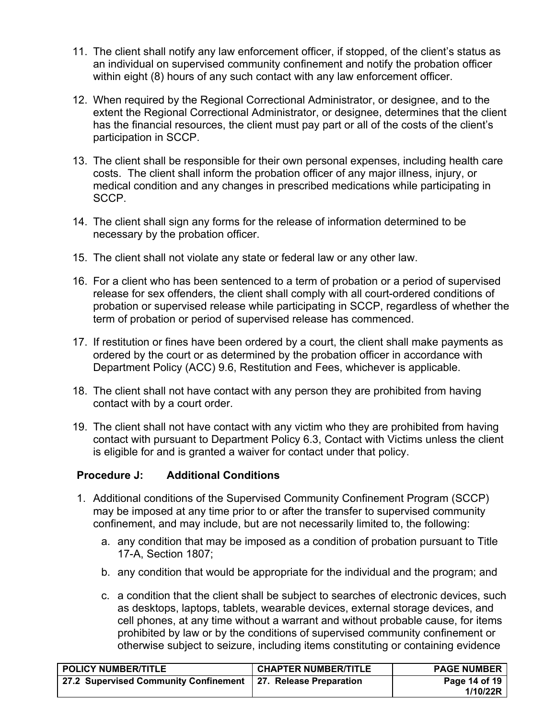- 11. The client shall notify any law enforcement officer, if stopped, of the client's status as an individual on supervised community confinement and notify the probation officer within eight (8) hours of any such contact with any law enforcement officer.
- 12. When required by the Regional Correctional Administrator, or designee, and to the extent the Regional Correctional Administrator, or designee, determines that the client has the financial resources, the client must pay part or all of the costs of the client's participation in SCCP.
- 13. The client shall be responsible for their own personal expenses, including health care costs. The client shall inform the probation officer of any major illness, injury, or medical condition and any changes in prescribed medications while participating in SCCP.
- 14. The client shall sign any forms for the release of information determined to be necessary by the probation officer.
- 15. The client shall not violate any state or federal law or any other law.
- 16. For a client who has been sentenced to a term of probation or a period of supervised release for sex offenders, the client shall comply with all court-ordered conditions of probation or supervised release while participating in SCCP, regardless of whether the term of probation or period of supervised release has commenced.
- 17. If restitution or fines have been ordered by a court, the client shall make payments as ordered by the court or as determined by the probation officer in accordance with Department Policy (ACC) 9.6, Restitution and Fees, whichever is applicable.
- 18. The client shall not have contact with any person they are prohibited from having contact with by a court order.
- 19. The client shall not have contact with any victim who they are prohibited from having contact with pursuant to Department Policy 6.3, Contact with Victims unless the client is eligible for and is granted a waiver for contact under that policy.

### **Procedure J: Additional Conditions**

- 1. Additional conditions of the Supervised Community Confinement Program (SCCP) may be imposed at any time prior to or after the transfer to supervised community confinement, and may include, but are not necessarily limited to, the following:
	- a. any condition that may be imposed as a condition of probation pursuant to Title 17-A, Section 1807;
	- b. any condition that would be appropriate for the individual and the program; and
	- c. a condition that the client shall be subject to searches of electronic devices, such as desktops, laptops, tablets, wearable devices, external storage devices, and cell phones, at any time without a warrant and without probable cause, for items prohibited by law or by the conditions of supervised community confinement or otherwise subject to seizure, including items constituting or containing evidence

| <b>POLICY NUMBER/TITLE</b>                                    | <b>CHAPTER NUMBER/TITLE</b> | <b>PAGE NUMBER</b>        |
|---------------------------------------------------------------|-----------------------------|---------------------------|
| 27.2 Supervised Community Confinement 27. Release Preparation |                             | Page 14 of 19<br>1/10/22R |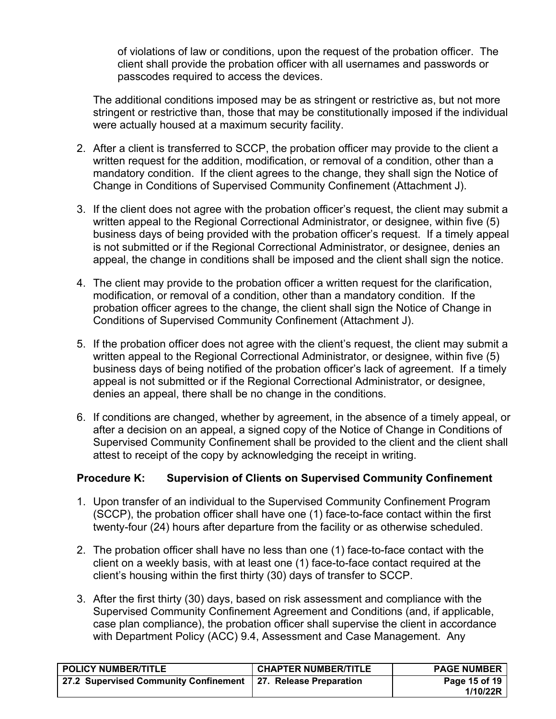of violations of law or conditions, upon the request of the probation officer. The client shall provide the probation officer with all usernames and passwords or passcodes required to access the devices.

The additional conditions imposed may be as stringent or restrictive as, but not more stringent or restrictive than, those that may be constitutionally imposed if the individual were actually housed at a maximum security facility.

- 2. After a client is transferred to SCCP, the probation officer may provide to the client a written request for the addition, modification, or removal of a condition, other than a mandatory condition. If the client agrees to the change, they shall sign the Notice of Change in Conditions of Supervised Community Confinement (Attachment J).
- 3. If the client does not agree with the probation officer's request, the client may submit a written appeal to the Regional Correctional Administrator, or designee, within five (5) business days of being provided with the probation officer's request. If a timely appeal is not submitted or if the Regional Correctional Administrator, or designee, denies an appeal, the change in conditions shall be imposed and the client shall sign the notice.
- 4. The client may provide to the probation officer a written request for the clarification, modification, or removal of a condition, other than a mandatory condition. If the probation officer agrees to the change, the client shall sign the Notice of Change in Conditions of Supervised Community Confinement (Attachment J).
- 5. If the probation officer does not agree with the client's request, the client may submit a written appeal to the Regional Correctional Administrator, or designee, within five (5) business days of being notified of the probation officer's lack of agreement. If a timely appeal is not submitted or if the Regional Correctional Administrator, or designee, denies an appeal, there shall be no change in the conditions.
- 6. If conditions are changed, whether by agreement, in the absence of a timely appeal, or after a decision on an appeal, a signed copy of the Notice of Change in Conditions of Supervised Community Confinement shall be provided to the client and the client shall attest to receipt of the copy by acknowledging the receipt in writing.

## **Procedure K: Supervision of Clients on Supervised Community Confinement**

- 1. Upon transfer of an individual to the Supervised Community Confinement Program (SCCP), the probation officer shall have one (1) face-to-face contact within the first twenty-four (24) hours after departure from the facility or as otherwise scheduled.
- 2. The probation officer shall have no less than one (1) face-to-face contact with the client on a weekly basis, with at least one (1) face-to-face contact required at the client's housing within the first thirty (30) days of transfer to SCCP.
- 3. After the first thirty (30) days, based on risk assessment and compliance with the Supervised Community Confinement Agreement and Conditions (and, if applicable, case plan compliance), the probation officer shall supervise the client in accordance with Department Policy (ACC) 9.4, Assessment and Case Management. Any

| <b>POLICY NUMBER/TITLE</b>                                      | <b>CHAPTER NUMBER/TITLE</b> | <b>PAGE NUMBER</b> |
|-----------------------------------------------------------------|-----------------------------|--------------------|
| 27.2 Supervised Community Confinement   27. Release Preparation |                             | Page 15 of 19      |
|                                                                 |                             | 1/10/22R           |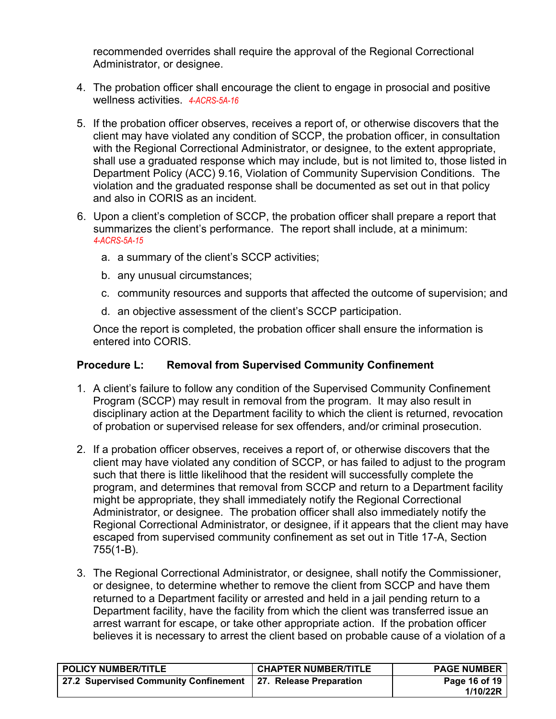recommended overrides shall require the approval of the Regional Correctional Administrator, or designee.

- 4. The probation officer shall encourage the client to engage in prosocial and positive wellness activities. *4-ACRS-5A-16*
- 5. If the probation officer observes, receives a report of, or otherwise discovers that the client may have violated any condition of SCCP, the probation officer, in consultation with the Regional Correctional Administrator, or designee, to the extent appropriate, shall use a graduated response which may include, but is not limited to, those listed in Department Policy (ACC) 9.16, Violation of Community Supervision Conditions. The violation and the graduated response shall be documented as set out in that policy and also in CORIS as an incident.
- 6. Upon a client's completion of SCCP, the probation officer shall prepare a report that summarizes the client's performance. The report shall include, at a minimum: *4-ACRS-5A-15*
	- a. a summary of the client's SCCP activities;
	- b. any unusual circumstances;
	- c. community resources and supports that affected the outcome of supervision; and
	- d. an objective assessment of the client's SCCP participation.

Once the report is completed, the probation officer shall ensure the information is entered into CORIS.

### **Procedure L: Removal from Supervised Community Confinement**

- 1. A client's failure to follow any condition of the Supervised Community Confinement Program (SCCP) may result in removal from the program. It may also result in disciplinary action at the Department facility to which the client is returned, revocation of probation or supervised release for sex offenders, and/or criminal prosecution.
- 2. If a probation officer observes, receives a report of, or otherwise discovers that the client may have violated any condition of SCCP, or has failed to adjust to the program such that there is little likelihood that the resident will successfully complete the program, and determines that removal from SCCP and return to a Department facility might be appropriate, they shall immediately notify the Regional Correctional Administrator, or designee. The probation officer shall also immediately notify the Regional Correctional Administrator, or designee, if it appears that the client may have escaped from supervised community confinement as set out in Title 17-A, Section 755(1-B).
- 3. The Regional Correctional Administrator, or designee, shall notify the Commissioner, or designee, to determine whether to remove the client from SCCP and have them returned to a Department facility or arrested and held in a jail pending return to a Department facility, have the facility from which the client was transferred issue an arrest warrant for escape, or take other appropriate action. If the probation officer believes it is necessary to arrest the client based on probable cause of a violation of a

| <b>CHAPTER NUMBER/TITLE</b>                                        | <b>PAGE NUMBER</b>        |
|--------------------------------------------------------------------|---------------------------|
| 27.2 Supervised Community Confinement  <br>27. Release Preparation | Page 16 of 19<br>1/10/22R |
|                                                                    |                           |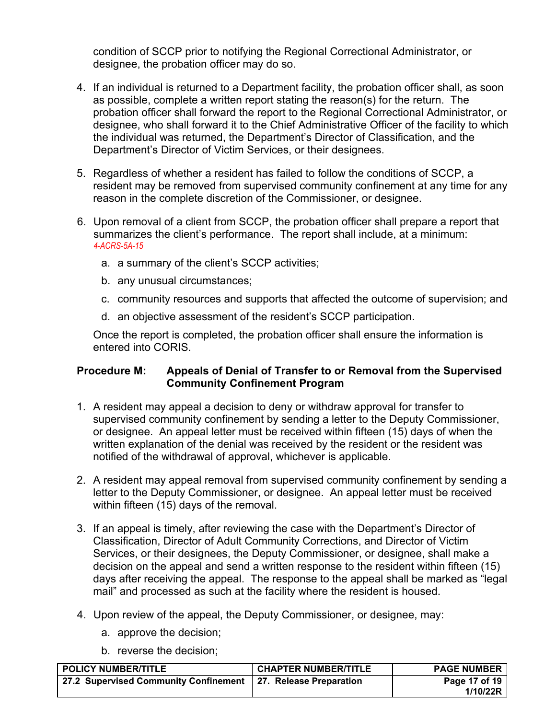condition of SCCP prior to notifying the Regional Correctional Administrator, or designee, the probation officer may do so.

- 4. If an individual is returned to a Department facility, the probation officer shall, as soon as possible, complete a written report stating the reason(s) for the return. The probation officer shall forward the report to the Regional Correctional Administrator, or designee, who shall forward it to the Chief Administrative Officer of the facility to which the individual was returned, the Department's Director of Classification, and the Department's Director of Victim Services, or their designees.
- 5. Regardless of whether a resident has failed to follow the conditions of SCCP, a resident may be removed from supervised community confinement at any time for any reason in the complete discretion of the Commissioner, or designee.
- 6. Upon removal of a client from SCCP, the probation officer shall prepare a report that summarizes the client's performance. The report shall include, at a minimum: *4-ACRS-5A-15*
	- a. a summary of the client's SCCP activities;
	- b. any unusual circumstances;
	- c. community resources and supports that affected the outcome of supervision; and
	- d. an objective assessment of the resident's SCCP participation.

Once the report is completed, the probation officer shall ensure the information is entered into CORIS.

### **Procedure M: Appeals of Denial of Transfer to or Removal from the Supervised Community Confinement Program**

- 1. A resident may appeal a decision to deny or withdraw approval for transfer to supervised community confinement by sending a letter to the Deputy Commissioner, or designee. An appeal letter must be received within fifteen (15) days of when the written explanation of the denial was received by the resident or the resident was notified of the withdrawal of approval, whichever is applicable.
- 2. A resident may appeal removal from supervised community confinement by sending a letter to the Deputy Commissioner, or designee. An appeal letter must be received within fifteen (15) days of the removal.
- 3. If an appeal is timely, after reviewing the case with the Department's Director of Classification, Director of Adult Community Corrections, and Director of Victim Services, or their designees, the Deputy Commissioner, or designee, shall make a decision on the appeal and send a written response to the resident within fifteen (15) days after receiving the appeal. The response to the appeal shall be marked as "legal mail" and processed as such at the facility where the resident is housed.
- 4. Upon review of the appeal, the Deputy Commissioner, or designee, may:
	- a. approve the decision;
	- b. reverse the decision;

| <b>POLICY NUMBER/TITLE</b>                                    | <b>CHAPTER NUMBER/TITLE</b> | <b>PAGE NUMBER</b> |
|---------------------------------------------------------------|-----------------------------|--------------------|
| 27.2 Supervised Community Confinement 27. Release Preparation |                             | Page 17 of 19      |
|                                                               |                             | 1/10/22R           |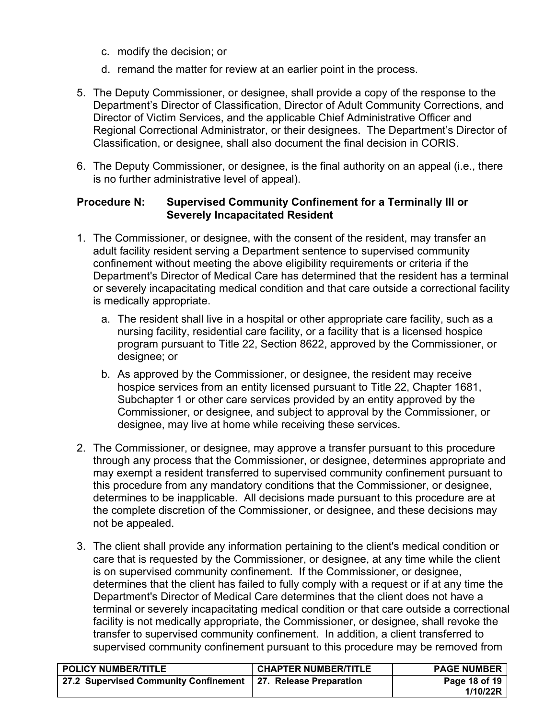- c. modify the decision; or
- d. remand the matter for review at an earlier point in the process.
- 5. The Deputy Commissioner, or designee, shall provide a copy of the response to the Department's Director of Classification, Director of Adult Community Corrections, and Director of Victim Services, and the applicable Chief Administrative Officer and Regional Correctional Administrator, or their designees. The Department's Director of Classification, or designee, shall also document the final decision in CORIS.
- 6. The Deputy Commissioner, or designee, is the final authority on an appeal (i.e., there is no further administrative level of appeal).

### **Procedure N: Supervised Community Confinement for a Terminally Ill or Severely Incapacitated Resident**

- 1. The Commissioner, or designee, with the consent of the resident, may transfer an adult facility resident serving a Department sentence to supervised community confinement without meeting the above eligibility requirements or criteria if the Department's Director of Medical Care has determined that the resident has a terminal or severely incapacitating medical condition and that care outside a correctional facility is medically appropriate.
	- a. The resident shall live in a hospital or other appropriate care facility, such as a nursing facility, residential care facility, or a facility that is a licensed hospice program pursuant to Title 22, Section 8622, approved by the Commissioner, or designee; or
	- b. As approved by the Commissioner, or designee, the resident may receive hospice services from an entity licensed pursuant to Title 22, Chapter 1681, Subchapter 1 or other care services provided by an entity approved by the Commissioner, or designee, and subject to approval by the Commissioner, or designee, may live at home while receiving these services.
- 2. The Commissioner, or designee, may approve a transfer pursuant to this procedure through any process that the Commissioner, or designee, determines appropriate and may exempt a resident transferred to supervised community confinement pursuant to this procedure from any mandatory conditions that the Commissioner, or designee, determines to be inapplicable. All decisions made pursuant to this procedure are at the complete discretion of the Commissioner, or designee, and these decisions may not be appealed.
- 3. The client shall provide any information pertaining to the client's medical condition or care that is requested by the Commissioner, or designee, at any time while the client is on supervised community confinement. If the Commissioner, or designee, determines that the client has failed to fully comply with a request or if at any time the Department's Director of Medical Care determines that the client does not have a terminal or severely incapacitating medical condition or that care outside a correctional facility is not medically appropriate, the Commissioner, or designee, shall revoke the transfer to supervised community confinement. In addition, a client transferred to supervised community confinement pursuant to this procedure may be removed from

| <b>POLICY NUMBER/TITLE</b>                                      | <b>CHAPTER NUMBER/TITLE</b> | <b>PAGE NUMBER</b> |
|-----------------------------------------------------------------|-----------------------------|--------------------|
| 27.2 Supervised Community Confinement   27. Release Preparation |                             | Page 18 of 19      |
|                                                                 |                             | 1/10/22R           |